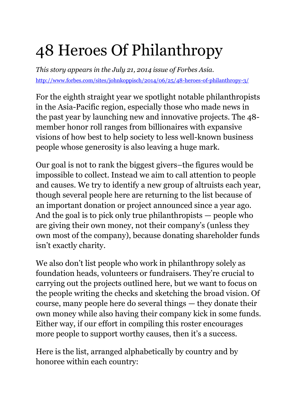# 48 Heroes Of Philanthropy

*This story appears in the July 21, 2014 issue of Forbes Asia.* <http://www.forbes.com/sites/johnkoppisch/2014/06/25/48-heroes-of-philanthropy-3/>

For the eighth straight year we spotlight notable philanthropists in the Asia-Pacific region, especially those who made news in the past year by launching new and innovative projects. The 48 member honor roll ranges from billionaires with expansive visions of how best to help society to less well-known business people whose generosity is also leaving a huge mark.

Our goal is not to rank the biggest givers–the figures would be impossible to collect. Instead we aim to call attention to people and causes. We try to identify a new group of altruists each year, though several people here are returning to the list because of an important donation or project announced since a year ago. And the goal is to pick only true philanthropists — people who are giving their own money, not their company's (unless they own most of the company), because donating shareholder funds isn't exactly charity.

We also don't list people who work in philanthropy solely as foundation heads, volunteers or fundraisers. They're crucial to carrying out the projects outlined here, but we want to focus on the people writing the checks and sketching the broad vision. Of course, many people here do several things — they donate their own money while also having their company kick in some funds. Either way, if our effort in compiling this roster encourages more people to support worthy causes, then it's a success.

Here is the list, arranged alphabetically by country and by honoree within each country: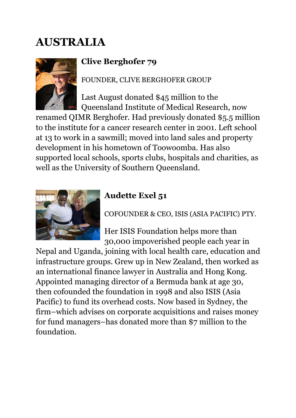## **AUSTRALIA**



### **Clive Berghofer 79**

FOUNDER, CLIVE BERGHOFER GROUP

Last August donated \$45 million to the Queensland Institute of Medical Research, now

renamed QIMR Berghofer. Had previously donated \$5.5 million to the institute for a cancer research center in 2001. Left school at 13 to work in a sawmill; moved into land sales and property development in his hometown of Toowoomba. Has also supported local schools, sports clubs, hospitals and charities, as well as the University of Southern Queensland.



#### **Audette Exel 51**

COFOUNDER & CEO, ISIS (ASIA PACIFIC) PTY.

Her ISIS Foundation helps more than 30,000 impoverished people each year in

Nepal and Uganda, joining with local health care, education and infrastructure groups. Grew up in New Zealand, then worked as an international finance lawyer in Australia and Hong Kong. Appointed managing director of a Bermuda bank at age 30, then cofounded the foundation in 1998 and also ISIS (Asia Pacific) to fund its overhead costs. Now based in Sydney, the firm–which advises on corporate acquisitions and raises money for fund managers–has donated more than \$7 million to the foundation.